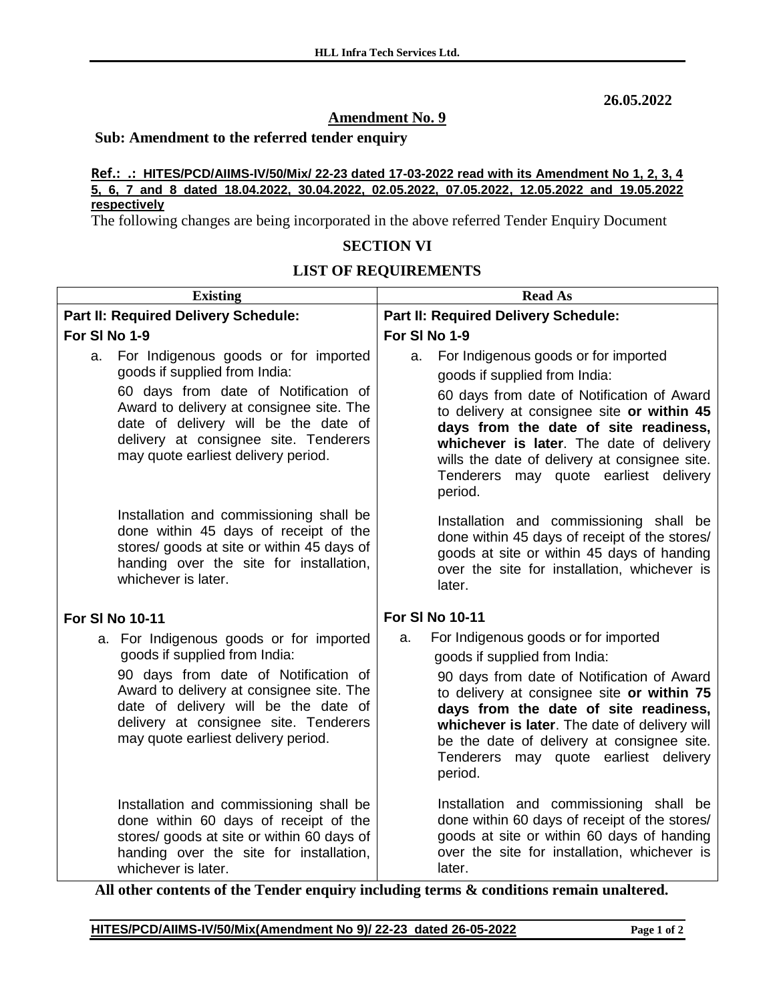**26.05.2022**

## **Amendment No. 9**

#### **Sub: Amendment to the referred tender enquiry**

#### **Ref.: .: HITES/PCD/AIIMS-IV/50/Mix/ 22-23 dated 17-03-2022 read with its Amendment No 1, 2, 3, 4 5, 6, 7 and 8 dated 18.04.2022, 30.04.2022, 02.05.2022, 07.05.2022, 12.05.2022 and 19.05.2022 respectively**

The following changes are being incorporated in the above referred Tender Enquiry Document

### **SECTION VI**

#### **LIST OF REQUIREMENTS**

| <b>Existing</b>                                                                                                                                                                                                                                                                         | <b>Read As</b>                                                                                                                                                                                                                                                                                                                                                         |
|-----------------------------------------------------------------------------------------------------------------------------------------------------------------------------------------------------------------------------------------------------------------------------------------|------------------------------------------------------------------------------------------------------------------------------------------------------------------------------------------------------------------------------------------------------------------------------------------------------------------------------------------------------------------------|
| Part II: Required Delivery Schedule:                                                                                                                                                                                                                                                    | Part II: Required Delivery Schedule:                                                                                                                                                                                                                                                                                                                                   |
| For SI No 1-9                                                                                                                                                                                                                                                                           | For SI No 1-9                                                                                                                                                                                                                                                                                                                                                          |
| For Indigenous goods or for imported<br>a.<br>goods if supplied from India:<br>60 days from date of Notification of<br>Award to delivery at consignee site. The<br>date of delivery will be the date of<br>delivery at consignee site. Tenderers<br>may quote earliest delivery period. | For Indigenous goods or for imported<br>a.<br>goods if supplied from India:<br>60 days from date of Notification of Award<br>to delivery at consignee site or within 45<br>days from the date of site readiness,<br>whichever is later. The date of delivery<br>wills the date of delivery at consignee site.<br>may quote earliest delivery<br>Tenderers<br>period.   |
| Installation and commissioning shall be<br>done within 45 days of receipt of the<br>stores/ goods at site or within 45 days of<br>handing over the site for installation,<br>whichever is later.                                                                                        | Installation and commissioning shall be<br>done within 45 days of receipt of the stores/<br>goods at site or within 45 days of handing<br>over the site for installation, whichever is<br>later.                                                                                                                                                                       |
| <b>For SI No 10-11</b>                                                                                                                                                                                                                                                                  | <b>For SI No 10-11</b>                                                                                                                                                                                                                                                                                                                                                 |
| a. For Indigenous goods or for imported<br>goods if supplied from India:<br>90 days from date of Notification of<br>Award to delivery at consignee site. The<br>date of delivery will be the date of<br>delivery at consignee site. Tenderers<br>may quote earliest delivery period.    | For Indigenous goods or for imported<br>a.<br>goods if supplied from India:<br>90 days from date of Notification of Award<br>to delivery at consignee site or within 75<br>days from the date of site readiness,<br>whichever is later. The date of delivery will<br>be the date of delivery at consignee site.<br>may quote earliest delivery<br>Tenderers<br>period. |
| Installation and commissioning shall be<br>done within 60 days of receipt of the<br>stores/ goods at site or within 60 days of<br>handing over the site for installation,<br>whichever is later.                                                                                        | Installation and commissioning shall be<br>done within 60 days of receipt of the stores/<br>goods at site or within 60 days of handing<br>over the site for installation, whichever is<br>later.                                                                                                                                                                       |

**All other contents of the Tender enquiry including terms & conditions remain unaltered.**

**HITES/PCD/AIIMS-IV/50/Mix(Amendment No 9)/ 22-23 dated 26-05-2022 Page 1 of 2**